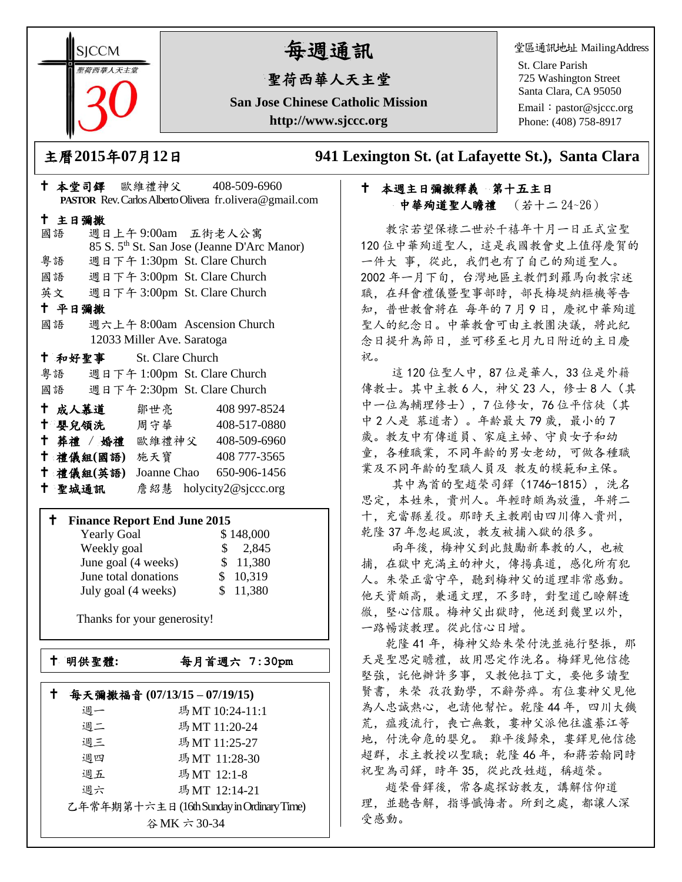**SICCM** 智荷西華人天主堂

# 每週通訊

## 聖荷西華人天主堂

**San Jose Chinese Catholic Mission http://www.sjccc.org**

堂區通訊地址 MailingAddress

St. Clare Parish 725 Washington Street Santa Clara, CA 95050

Email: [pastor@sjccc.org](mailto:pastor@sjccc.org) Phone: (408) 758-8917

主曆**2015**年**07**月**12**日 **941 Lexington St. (at Lafayette St.), Santa Clara** 

### 十 本週主日彌撒釋義 第十五主日 中華殉道聖人瞻禮 (若十二 24~26)

 教宗若望保祿二世於千禧年十月一日正式宣聖 120 位中華殉道聖人,這是我國教會史上值得慶賀的 一件大 事,從此,我們也有了自己的殉道聖人。 2002 年一月下旬,台灣地區主教們到羅馬向教宗述 職,在拜會禮儀暨聖事部時,部長梅堤納樞機等告 知,普世教會將在 每年的7月9日,慶祝中華殉道 聖人的紀念日。中華教會可由主教團決議,將此紀 念日提升為節日,並可移至七月九日附近的主日慶 祝。

這120位聖人中,87位是華人,33位是外籍 傳教士。其中主教 6人,神父 23 人, 修士 8 人 (其 中一位為輔理修士),7位修女,76位平信徒(其 中 2 人是 慕道者)。年齡最大 79 歲, 最小的 7 歲。教友中有傳道員、家庭主婦、守貞女子和幼 童,各種職業,不同年齡的男女老幼,可做各種職 業及不同年齡的聖職人員及 教友的模範和主保。

 其中為首的聖趙榮司鐸(1746-1815),洗名 思定,本姓朱,貴州人。年輕時頗為放盪,年將二 十,充當縣差役。那時天主教剛由四川傳入貴州, 乾隆 37 年忽起風波,教友被捕入獄的很多。

 兩年後,梅神父到此鼓勵新奉教的人,也被 捕,在獄中充滿主的神火,傳揚真道,感化所有犯 人。朱榮正當守卒,聽到梅神父的道理非常感動。 他天資頗高,兼通文理,不多時,對聖道已瞭解透 徹,堅心信服。梅神父出獄時,他送到幾里以外, 一路暢談教理。從此信心日增。

 乾隆 41 年,梅神父給朱榮付洗並施行堅振,那 天是聖思定瞻禮,故用思定作洗名。梅鐸見他信德 堅強,託他辦許多事,又教他拉丁文,要他多讀聖 賢書,朱榮 孜孜勤學,不辭勞瘁。有位婁神父見他 為人忠誠熱心,也請他幫忙。乾隆 44 年,四川大饑 荒,瘟疫流行,喪亡無數, 婁神父派他往瀘綦江等 地,付洗命危的嬰兒。 難平後歸來, 婁鐸見他信德 超群,求主教授以聖職;乾隆 46 年,和蔣若翰同時 祝聖為司鐸,時年 35,從此改姓趙,稱趙榮。

 趙榮晉鐸後,常各處探訪教友,講解信仰道 理,並聽告解,指導懺悔者。所到之處,都讓人深 受感動。

|                                            |        |        |                            |  | ↑ 本堂司鐸 歐維禮神父 408-509-6960                                |  |  |
|--------------------------------------------|--------|--------|----------------------------|--|----------------------------------------------------------|--|--|
|                                            |        |        |                            |  | PASTOR Rev. Carlos Alberto Olivera fr. olivera@gmail.com |  |  |
|                                            | 十 主日彌撒 |        |                            |  |                                                          |  |  |
|                                            | 國語     |        |                            |  | 週日上午9:00am 五街老人公寓                                        |  |  |
|                                            |        |        |                            |  | 85 S. 5 <sup>th</sup> St. San Jose (Jeanne D'Arc Manor)  |  |  |
|                                            |        |        |                            |  | 粤語 週日下午 1:30pm St. Clare Church                          |  |  |
|                                            |        |        |                            |  | 國語 週日下午 3:00pm St. Clare Church                          |  |  |
|                                            |        |        |                            |  | 英文 週日下午 3:00pm St. Clare Church                          |  |  |
|                                            | 十 平日彌撒 |        |                            |  |                                                          |  |  |
|                                            | 國語     |        |                            |  | 週六上午 8:00am Ascension Church                             |  |  |
|                                            |        |        | 12033 Miller Ave. Saratoga |  |                                                          |  |  |
|                                            |        |        | + 和好聖事 St. Clare Church    |  |                                                          |  |  |
|                                            |        |        |                            |  | 粤語 週日下午 1:00pm St. Clare Church                          |  |  |
|                                            |        |        |                            |  | 國語 週日下午 2:30pm St. Clare Church                          |  |  |
|                                            |        |        |                            |  | <sup>†</sup> 成人慕道 鄒世亮 408 997-8524                       |  |  |
|                                            |        |        |                            |  | <sup>†</sup> 嬰兒領洗 周守華 408-517-0880                       |  |  |
|                                            |        |        |                            |  | + 葬禮 / 婚禮 歐維禮神父 408-509-6960                             |  |  |
|                                            |        |        |                            |  | <sup>†</sup> 禮儀組(國語) 施天寶 408777-3565                     |  |  |
|                                            |        |        |                            |  | † 禮儀組(英語) Joanne Chao 650-906-1456                       |  |  |
|                                            |        | 十 聖城通訊 |                            |  | 詹紹慧 holycity2@sjccc.org                                  |  |  |
|                                            |        |        |                            |  |                                                          |  |  |
| <b>Finance Report End June 2015</b><br>Ť., |        |        |                            |  |                                                          |  |  |
|                                            |        |        |                            |  | $V = 1 - C = 1$ (1.40.000                                |  |  |

| <b>Yearly Goal</b>   | \$148,000 |
|----------------------|-----------|
| Weekly goal          | \$2,845   |
| June goal (4 weeks)  | \$11,380  |
| June total donations | \$10,319  |
| July goal (4 weeks)  | \$11,380  |

Thanks for your generosity!

明供聖體**:**每月首週六 **7:30pm**

|             | 每天彌撒福音 (07/13/15-07/19/15)               |                |  |  |  |
|-------------|------------------------------------------|----------------|--|--|--|
|             | 週一                                       | 瑪MT 10:24-11:1 |  |  |  |
|             | 週二                                       | 瑪MT 11:20-24   |  |  |  |
|             | 週三                                       | 瑪MT 11:25-27   |  |  |  |
|             | 週四                                       | 瑪MT 11:28-30   |  |  |  |
|             | 週五                                       | 瑪MT 12:1-8     |  |  |  |
|             | 调六                                       | 瑪MT 12:14-21   |  |  |  |
|             | 乙年常年期第十六主日(16th Sunday in Ordinary Time) |                |  |  |  |
| 谷MK 六 30-34 |                                          |                |  |  |  |
|             |                                          |                |  |  |  |